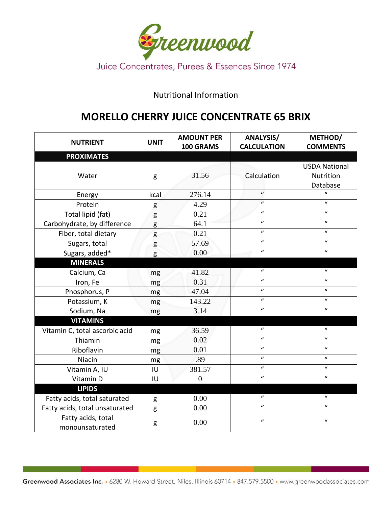

## Nutritional Information

## **MORELLO CHERRY JUICE CONCENTRATE 65 BRIX**

| <b>NUTRIENT</b>                       | <b>UNIT</b> | <b>AMOUNT PER</b><br>100 GRAMS | <b>ANALYSIS/</b><br><b>CALCULATION</b> | METHOD/<br><b>COMMENTS</b>                    |
|---------------------------------------|-------------|--------------------------------|----------------------------------------|-----------------------------------------------|
| <b>PROXIMATES</b>                     |             |                                |                                        |                                               |
| Water                                 | g           | 31.56                          | Calculation                            | <b>USDA National</b><br>Nutrition<br>Database |
| Energy                                | kcal        | 276.14                         | $\mathbf{u}$                           | $\mathbf{u}$                                  |
| Protein                               | g           | 4.29                           | $\mathbf{u}$                           | $\boldsymbol{u}$                              |
| Total lipid (fat)                     | g           | 0.21                           | $\boldsymbol{u}$                       | $\boldsymbol{u}$                              |
| Carbohydrate, by difference           | g           | 64.1                           | $\boldsymbol{u}$                       | $\boldsymbol{u}$                              |
| Fiber, total dietary                  | g           | 0.21                           | $\boldsymbol{u}$                       | $\mathbf{u}$                                  |
| Sugars, total                         | g           | 57.69                          | $\boldsymbol{u}$                       | $\boldsymbol{u}$                              |
| Sugars, added*                        | g           | 0.00                           | $\boldsymbol{u}$                       | $\boldsymbol{u}$                              |
| <b>MINERALS</b>                       |             |                                |                                        |                                               |
| Calcium, Ca                           | mg          | 41.82                          | $\boldsymbol{u}$                       | $\boldsymbol{u}$                              |
| Iron, Fe                              | mg          | 0.31                           | $\boldsymbol{u}$                       | $\mathbf{u}$                                  |
| Phosphorus, P                         | mg          | 47.04                          | $\boldsymbol{u}$                       | $\boldsymbol{u}$                              |
| Potassium, K                          | mg          | 143.22                         | $\boldsymbol{u}$                       | $\boldsymbol{u}$                              |
| Sodium, Na                            | mg          | 3.14                           | $\boldsymbol{u}$                       | $\boldsymbol{u}$                              |
| <b>VITAMINS</b>                       |             |                                |                                        |                                               |
| Vitamin C, total ascorbic acid        | mg          | 36.59                          | $\boldsymbol{u}$                       | $\mathbf{u}$                                  |
| Thiamin                               | mg          | 0.02                           | $\boldsymbol{u}$                       | $\boldsymbol{u}$                              |
| Riboflavin                            | mg          | 0.01                           | $\boldsymbol{u}$                       | $\boldsymbol{u}$                              |
| Niacin                                | mg          | .89                            | $\boldsymbol{u}$                       | $\boldsymbol{u}$                              |
| Vitamin A, IU                         | IU          | 381.57                         | $\boldsymbol{u}$                       | $\boldsymbol{u}$                              |
| Vitamin D                             | IU          | $\boldsymbol{0}$               | $\boldsymbol{u}$                       | $\boldsymbol{u}$                              |
| <b>LIPIDS</b>                         |             |                                |                                        |                                               |
| Fatty acids, total saturated          | g           | 0.00                           | $\boldsymbol{u}$                       | $\boldsymbol{u}$                              |
| Fatty acids, total unsaturated        | g           | 0.00                           | $\boldsymbol{u}$                       | $\boldsymbol{u}$                              |
| Fatty acids, total<br>monounsaturated | g           | 0.00                           | $\boldsymbol{u}$                       | $\boldsymbol{u}$                              |